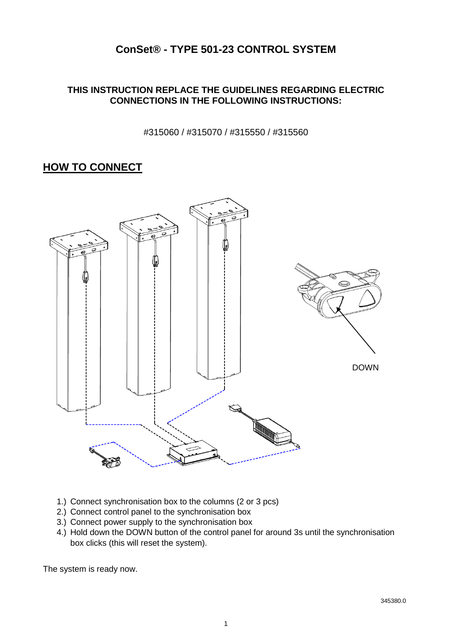# **ConSet® - TYPE 501-23 CONTROL SYSTEM**

### **THIS INSTRUCTION REPLACE THE GUIDELINES REGARDING ELECTRIC CONNECTIONS IN THE FOLLOWING INSTRUCTIONS:**

#315060 / #315070 / #315550 / #315560

## **HOW TO CONNECT**



- 1.) Connect synchronisation box to the columns (2 or 3 pcs)
- 2.) Connect control panel to the synchronisation box
- 3.) Connect power supply to the synchronisation box
- 4.) Hold down the DOWN button of the control panel for around 3s until the synchronisation box clicks (this will reset the system).

The system is ready now.